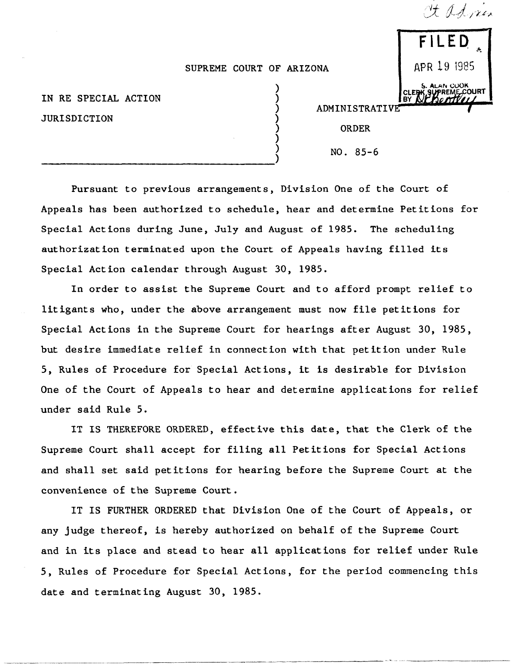## SUPREME COURT OF ARIZONA

) ) ) ) ) ) )

IN RE SPECIAL ACTION JURISDICTION

---------------------------------)

--------------"" "-"-------" --"--------"-

| FILED                             |
|-----------------------------------|
| APR 19 1985                       |
| S. ALAN CUOK<br>ERK SUPREME COURT |

It advien

ADMINISTRATIVE

ORDER

NO. 85-6

Pursuant to previous arrangements, Division One of the Court of Appeals has been authorized to schedule, hear and determine Petitions for Special Actions during June, July and August of 1985. The scheduling authorization terminated upon the Court of Appeals having filled its Special Action calendar through August 30, 1985.

In order to assist the Supreme Court and to afford prompt relief to litigants who, under the above arrangement must now file petitions for Special Actions in the Supreme Court for hearings after August 30, 1985, but desire immediate relief in connection with that petition under Rule 5, Rules of Procedure for Special Actions, it is desirable for Division One of the Court of Appeals to hear and determine applications for relief under said Rule 5.

IT IS THEREFORE ORDERED, effective this date, that the Clerk of the Supreme Court shall accept for filing all Petitions for Special Actions and shall set said petitions for hearing before the Supreme Court at the convenience of the Supreme Court.

IT IS FURTHER ORDERED that Division One of the Court of Appeals, or any judge thereof, is hereby authorized on behalf of the Supreme Court and in its place and stead to hear all applications for relief under Rule 5, Rules of Procedure for Special Actions, for the period commencing this date and terminating August 30, 1985.